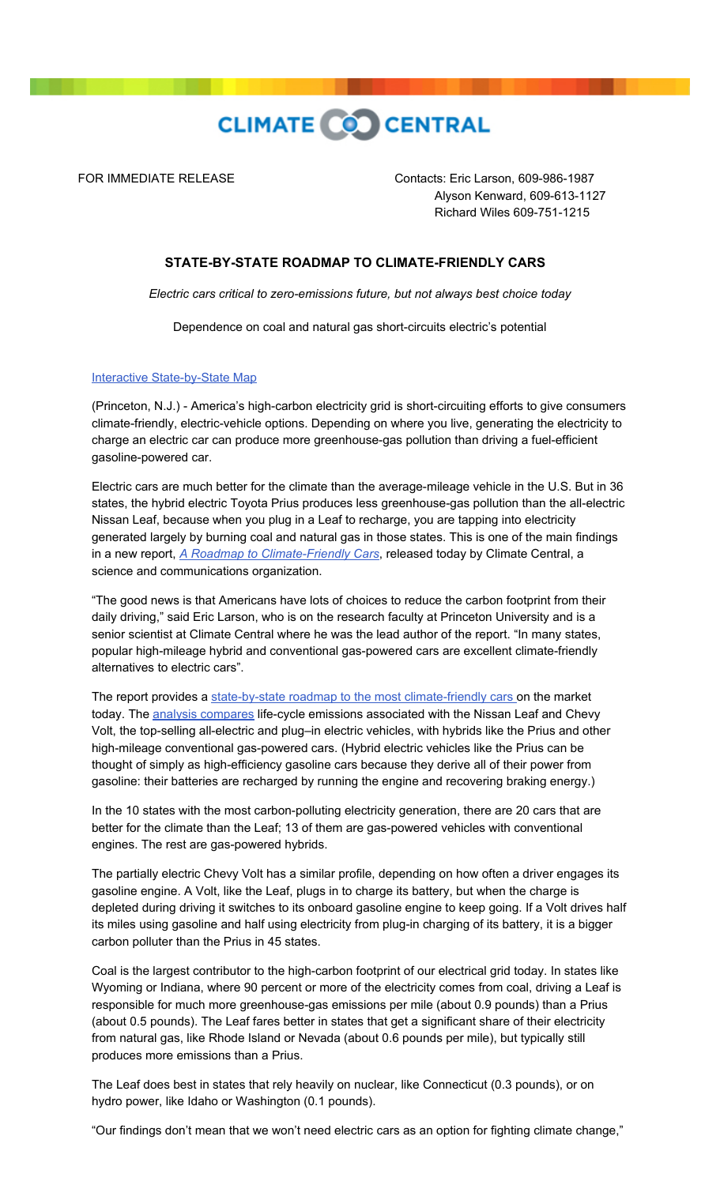

FOR IMMEDIATE RELEASE Contacts: Eric Larson, 609-986-1987 Alyson Kenward, 609-613-1127 Richard Wiles 609-751-1215

## **STATE-BY-STATE ROADMAP TO CLIMATE-FRIENDLY CARS**

*Electric cars critical to zero-emissions future, but not always best choice today*

Dependence on coal and natural gas short-circuits electric's potential

## [Interactive State-by-State Map](http://www.climatecentral.org/news/climate-friendly-cars)

(Princeton, N.J.) - America's high-carbon electricity grid is short-circuiting efforts to give consumers climate-friendly, electric-vehicle options. Depending on where you live, generating the electricity to charge an electric car can produce more greenhouse-gas pollution than driving a fuel-efficient gasoline-powered car.

Electric cars are much better for the climate than the average-mileage vehicle in the U.S. But in 36 states, the hybrid electric Toyota Prius produces less greenhouse-gas pollution than the all-electric Nissan Leaf, because when you plug in a Leaf to recharge, you are tapping into electricity generated largely by burning coal and natural gas in those states. This is one of the main findings in a new report, *[A Roadmap to Climate-Friendly Cars](http://www.climatecentral.org/wgts/leafapp/Climate_Friendly_Cars_2012.pdf)*, released today by Climate Central, a science and communications organization.

"The good news is that Americans have lots of choices to reduce the carbon footprint from their daily driving," said Eric Larson, who is on the research faculty at Princeton University and is a senior scientist at Climate Central where he was the lead author of the report. "In many states, popular high-mileage hybrid and conventional gas-powered cars are excellent climate-friendly alternatives to electric cars".

The report provides a [state-by-state roadmap to the most climate-friendly cars o](http://www.climatecentral.org/news/climate-friendly-cars)n the market today. The [analysis compares](http://www.climatecentral.org/news/climate-friendly-cars/P3) life-cycle emissions associated with the Nissan Leaf and Chevy Volt, the top-selling all-electric and plug–in electric vehicles, with hybrids like the Prius and other high-mileage conventional gas-powered cars. (Hybrid electric vehicles like the Prius can be thought of simply as high-efficiency gasoline cars because they derive all of their power from gasoline: their batteries are recharged by running the engine and recovering braking energy.)

In the 10 states with the most carbon-polluting electricity generation, there are 20 cars that are better for the climate than the Leaf; 13 of them are gas-powered vehicles with conventional engines. The rest are gas-powered hybrids.

The partially electric Chevy Volt has a similar profile, depending on how often a driver engages its gasoline engine. A Volt, like the Leaf, plugs in to charge its battery, but when the charge is depleted during driving it switches to its onboard gasoline engine to keep going. If a Volt drives half its miles using gasoline and half using electricity from plug-in charging of its battery, it is a bigger carbon polluter than the Prius in 45 states.

Coal is the largest contributor to the high-carbon footprint of our electrical grid today. In states like Wyoming or Indiana, where 90 percent or more of the electricity comes from coal, driving a Leaf is responsible for much more greenhouse-gas emissions per mile (about 0.9 pounds) than a Prius (about 0.5 pounds). The Leaf fares better in states that get a significant share of their electricity from natural gas, like Rhode Island or Nevada (about 0.6 pounds per mile), but typically still produces more emissions than a Prius.

The Leaf does best in states that rely heavily on nuclear, like Connecticut (0.3 pounds), or on hydro power, like Idaho or Washington (0.1 pounds).

"Our findings don't mean that we won't need electric cars as an option for fighting climate change,"